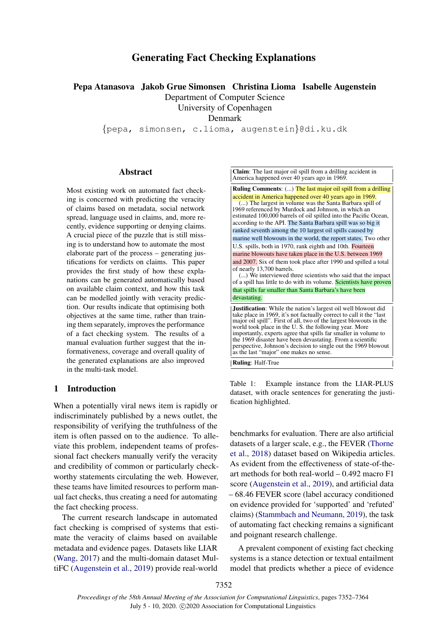# Generating Fact Checking Explanations

Pepa Atanasova Jakob Grue Simonsen Christina Lioma Isabelle Augenstein

Department of Computer Science

University of Copenhagen

Denmark

{pepa, simonsen, c.lioma, augenstein}@di.ku.dk

## **Abstract**

Most existing work on automated fact checking is concerned with predicting the veracity of claims based on metadata, social network spread, language used in claims, and, more recently, evidence supporting or denying claims. A crucial piece of the puzzle that is still missing is to understand how to automate the most elaborate part of the process – generating justifications for verdicts on claims. This paper provides the first study of how these explanations can be generated automatically based on available claim context, and how this task can be modelled jointly with veracity prediction. Our results indicate that optimising both objectives at the same time, rather than training them separately, improves the performance of a fact checking system. The results of a manual evaluation further suggest that the informativeness, coverage and overall quality of the generated explanations are also improved in the multi-task model.

## 1 Introduction

When a potentially viral news item is rapidly or indiscriminately published by a news outlet, the responsibility of verifying the truthfulness of the item is often passed on to the audience. To alleviate this problem, independent teams of professional fact checkers manually verify the veracity and credibility of common or particularly checkworthy statements circulating the web. However, these teams have limited resources to perform manual fact checks, thus creating a need for automating the fact checking process.

The current research landscape in automated fact checking is comprised of systems that estimate the veracity of claims based on available metadata and evidence pages. Datasets like LIAR [\(Wang,](#page-10-0) [2017\)](#page-10-0) and the multi-domain dataset MultiFC [\(Augenstein et al.,](#page-9-0) [2019\)](#page-9-0) provide real-world

<span id="page-0-0"></span>Claim: The last major oil spill from a drilling accident in America happened over 40 years ago in 1969.

Ruling Comments: (...) The last major oil spill from a drilling accident in America happened over 40 years ago in 1969. (...) The largest in volume was the Santa Barbara spill of 1969 referenced by Murdock and Johnson, in which an estimated 100,000 barrels of oil spilled into the Pacific Ocean, according to the API. The Santa Barbara spill was so big it ranked seventh among the 10 largest oil spills caused by marine well blowouts in the world, the report states. Two other U.S. spills, both in 1970, rank eighth and 10th. Fourteen marine blowouts have taken place in the U.S. between 1969 and 2007. Six of them took place after 1990 and spilled a total of nearly 13,700 barrels. (...) We interviewed three scientists who said that the impact of a spill has little to do with its volume. Scientists have proven that spills far smaller than Santa Barbara's have been devastating. Justification: While the nation's largest oil well blowout did take place in 1969, it's not factually correct to call it the "last

major oil spill". First of all, two of the largest blowouts in the world took place in the U. S. the following year. More importantly, experts agree that spills far smaller in volume to the 1969 disaster have been devastating. From a scientific perspective, Johnson's decision to single out the 1969 blowout as the last "major" one makes no sense.

Ruling: Half-True

Table 1: Example instance from the LIAR-PLUS dataset, with oracle sentences for generating the justification highlighted.

benchmarks for evaluation. There are also artificial datasets of a larger scale, e.g., the FEVER [\(Thorne](#page-10-1) [et al.,](#page-10-1) [2018\)](#page-10-1) dataset based on Wikipedia articles. As evident from the effectiveness of state-of-theart methods for both real-world – 0.492 macro F1 score [\(Augenstein et al.,](#page-9-0) [2019\)](#page-9-0), and artificial data – 68.46 FEVER score (label accuracy conditioned on evidence provided for 'supported' and 'refuted' claims) [\(Stammbach and Neumann,](#page-10-2) [2019\)](#page-10-2), the task of automating fact checking remains a significant and poignant research challenge.

A prevalent component of existing fact checking systems is a stance detection or textual entailment model that predicts whether a piece of evidence

7352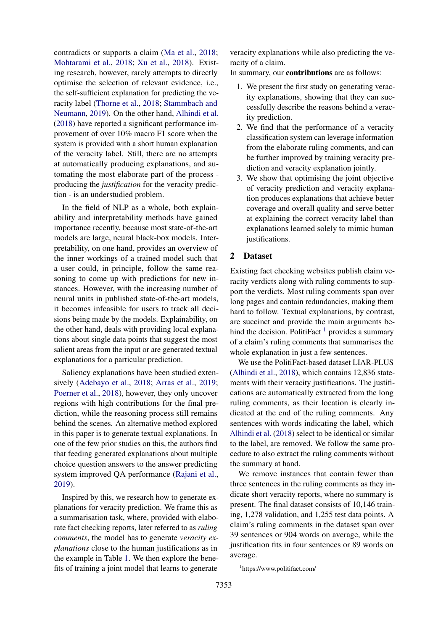contradicts or supports a claim [\(Ma et al.,](#page-9-1) [2018;](#page-9-1) [Mohtarami et al.,](#page-10-3) [2018;](#page-10-3) [Xu et al.,](#page-10-4) [2018\)](#page-10-4). Existing research, however, rarely attempts to directly optimise the selection of relevant evidence, i.e., the self-sufficient explanation for predicting the veracity label [\(Thorne et al.,](#page-10-1) [2018;](#page-10-1) [Stammbach and](#page-10-2) [Neumann,](#page-10-2) [2019\)](#page-10-2). On the other hand, [Alhindi et al.](#page-9-2) [\(2018\)](#page-9-2) have reported a significant performance improvement of over 10% macro F1 score when the system is provided with a short human explanation of the veracity label. Still, there are no attempts at automatically producing explanations, and automating the most elaborate part of the process producing the *justification* for the veracity prediction - is an understudied problem.

In the field of NLP as a whole, both explainability and interpretability methods have gained importance recently, because most state-of-the-art models are large, neural black-box models. Interpretability, on one hand, provides an overview of the inner workings of a trained model such that a user could, in principle, follow the same reasoning to come up with predictions for new instances. However, with the increasing number of neural units in published state-of-the-art models, it becomes infeasible for users to track all decisions being made by the models. Explainability, on the other hand, deals with providing local explanations about single data points that suggest the most salient areas from the input or are generated textual explanations for a particular prediction.

Saliency explanations have been studied extensively [\(Adebayo et al.,](#page-9-3) [2018;](#page-9-3) [Arras et al.,](#page-9-4) [2019;](#page-9-4) [Poerner et al.,](#page-10-5) [2018\)](#page-10-5), however, they only uncover regions with high contributions for the final prediction, while the reasoning process still remains behind the scenes. An alternative method explored in this paper is to generate textual explanations. In one of the few prior studies on this, the authors find that feeding generated explanations about multiple choice question answers to the answer predicting system improved QA performance [\(Rajani et al.,](#page-10-6) [2019\)](#page-10-6).

Inspired by this, we research how to generate explanations for veracity prediction. We frame this as a summarisation task, where, provided with elaborate fact checking reports, later referred to as *ruling comments*, the model has to generate *veracity explanations* close to the human justifications as in the example in Table [1.](#page-0-0) We then explore the benefits of training a joint model that learns to generate veracity explanations while also predicting the veracity of a claim.

In summary, our contributions are as follows:

- 1. We present the first study on generating veracity explanations, showing that they can successfully describe the reasons behind a veracity prediction.
- 2. We find that the performance of a veracity classification system can leverage information from the elaborate ruling comments, and can be further improved by training veracity prediction and veracity explanation jointly.
- 3. We show that optimising the joint objective of veracity prediction and veracity explanation produces explanations that achieve better coverage and overall quality and serve better at explaining the correct veracity label than explanations learned solely to mimic human justifications.

# 2 Dataset

Existing fact checking websites publish claim veracity verdicts along with ruling comments to support the verdicts. Most ruling comments span over long pages and contain redundancies, making them hard to follow. Textual explanations, by contrast, are succinct and provide the main arguments behind the decision. PolitiFact  $<sup>1</sup>$  $<sup>1</sup>$  $<sup>1</sup>$  provides a summary</sup> of a claim's ruling comments that summarises the whole explanation in just a few sentences.

We use the PolitiFact-based dataset LIAR-PLUS [\(Alhindi et al.,](#page-9-2) [2018\)](#page-9-2), which contains 12,836 statements with their veracity justifications. The justifications are automatically extracted from the long ruling comments, as their location is clearly indicated at the end of the ruling comments. Any sentences with words indicating the label, which [Alhindi et al.](#page-9-2) [\(2018\)](#page-9-2) select to be identical or similar to the label, are removed. We follow the same procedure to also extract the ruling comments without the summary at hand.

We remove instances that contain fewer than three sentences in the ruling comments as they indicate short veracity reports, where no summary is present. The final dataset consists of 10,146 training, 1,278 validation, and 1,255 test data points. A claim's ruling comments in the dataset span over 39 sentences or 904 words on average, while the justification fits in four sentences or 89 words on average.

<span id="page-1-0"></span><sup>1</sup> https://www.politifact.com/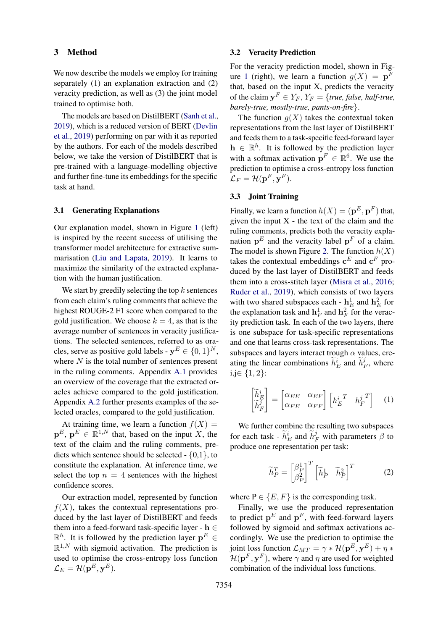### 3 Method

We now describe the models we employ for training separately (1) an explanation extraction and (2) veracity prediction, as well as (3) the joint model trained to optimise both.

The models are based on DistilBERT [\(Sanh et al.,](#page-10-7) [2019\)](#page-10-7), which is a reduced version of BERT [\(Devlin](#page-9-5) [et al.,](#page-9-5) [2019\)](#page-9-5) performing on par with it as reported by the authors. For each of the models described below, we take the version of DistilBERT that is pre-trained with a language-modelling objective and further fine-tune its embeddings for the specific task at hand.

## 3.1 Generating Explanations

Our explanation model, shown in Figure [1](#page-3-0) (left) is inspired by the recent success of utilising the transformer model architecture for extractive summarisation [\(Liu and Lapata,](#page-9-6) [2019\)](#page-9-6). It learns to maximize the similarity of the extracted explanation with the human justification.

We start by greedily selecting the top  $k$  sentences from each claim's ruling comments that achieve the highest ROUGE-2 F1 score when compared to the gold justification. We choose  $k = 4$ , as that is the average number of sentences in veracity justifications. The selected sentences, referred to as oracles, serve as positive gold labels -  $y^E \in \{0, 1\}^N$ , where  $N$  is the total number of sentences present in the ruling comments. Appendix [A.1](#page-11-0) provides an overview of the coverage that the extracted oracles achieve compared to the gold justification. Appendix [A.2](#page-11-1) further presents examples of the selected oracles, compared to the gold justification.

At training time, we learn a function  $f(X) =$  ${\bf p}^E$ ,  ${\bf p}^E \in \mathbb{R}^{1,N}$  that, based on the input X, the text of the claim and the ruling comments, predicts which sentence should be selected - {0,1}, to constitute the explanation. At inference time, we select the top  $n = 4$  sentences with the highest confidence scores.

Our extraction model, represented by function  $f(X)$ , takes the contextual representations produced by the last layer of DistilBERT and feeds them into a feed-forward task-specific layer -  $h \in$  $\mathbb{R}^h$ . It is followed by the prediction layer  $p^E \in$  $\mathbb{R}^{1,N}$  with sigmoid activation. The prediction is used to optimise the cross-entropy loss function  $\mathcal{L}_{E} = \mathcal{H}(\mathbf{p}^E, \mathbf{y}^E).$ 

### 3.2 Veracity Prediction

For the veracity prediction model, shown in Fig-ure [1](#page-3-0) (right), we learn a function  $g(X) = \mathbf{p}^F$ that, based on the input X, predicts the veracity of the claim  $y^F \in Y_F$ ,  $Y_F = \{true, false, half-true,$ *barely-true, mostly-true, pants-on-fire*}.

The function  $q(X)$  takes the contextual token representations from the last layer of DistilBERT and feeds them to a task-specific feed-forward layer  $h \in \mathbb{R}^h$ . It is followed by the prediction layer with a softmax activation  $\mathbf{p}^F \in \mathbb{R}^6$ . We use the prediction to optimise a cross-entropy loss function  $\mathcal{L}_F = \mathcal{H}(\mathbf{p}^F, \mathbf{y}^F).$ 

# <span id="page-2-0"></span>3.3 Joint Training

Finally, we learn a function  $h(X) = (\mathbf{p}^E, \mathbf{p}^F)$  that, given the input  $X$  - the text of the claim and the ruling comments, predicts both the veracity explanation  $p<sup>E</sup>$  and the veracity label  $p<sup>F</sup>$  of a claim. The model is shown Figure [2.](#page-3-1) The function  $h(X)$ takes the contextual embeddings  $\mathbf{c}^E$  and  $\mathbf{c}^F$  produced by the last layer of DistilBERT and feeds them into a cross-stitch layer [\(Misra et al.,](#page-9-7) [2016;](#page-9-7) [Ruder et al.,](#page-10-8) [2019\)](#page-10-8), which consists of two layers with two shared subspaces each -  $\mathbf{h}_E^1$  and  $\mathbf{h}_E^2$  for the explanation task and  $\mathbf{h}_F^1$  and  $\mathbf{h}_F^2$  for the veracity prediction task. In each of the two layers, there is one subspace for task-specific representations and one that learns cross-task representations. The subspaces and layers interact trough  $\alpha$  values, creating the linear combinations  $\tilde{h}_E^i$  and  $\tilde{h}_I^j$  $E_F^j$ , where i,j∈ {1, 2}:

$$
\begin{bmatrix} \widetilde{h}_E^i \\ \widetilde{h}_F^j \end{bmatrix} = \begin{bmatrix} \alpha_{EE} & \alpha_{EF} \\ \alpha_{FE} & \alpha_{FF} \end{bmatrix} \begin{bmatrix} h_E^{i \ T} & h_F^{j \ T} \end{bmatrix} \quad (1)
$$

We further combine the resulting two subspaces for each task -  $\tilde{h}_E^i$  and  $\tilde{h}_F^j$  with parameters  $\beta$  to produce one representation per task:

$$
\widetilde{h}_P^T = \begin{bmatrix} \beta_P^1 \\ \beta_P^2 \end{bmatrix}^T \begin{bmatrix} \widetilde{h}_P^1 & \widetilde{h}_P^2 \end{bmatrix}^T
$$
 (2)

where  $P \in \{E, F\}$  is the corresponding task.

Finally, we use the produced representation to predict  $p<sup>E</sup>$  and  $p<sup>F</sup>$ , with feed-forward layers followed by sigmoid and softmax activations accordingly. We use the prediction to optimise the joint loss function  $\mathcal{L}_{MT} = \gamma * \mathcal{H}(\mathbf{p}^E, \mathbf{y}^E) + \eta *$  $\mathcal{H}(\mathbf{p}^F, \mathbf{y}^F)$ , where  $\gamma$  and  $\eta$  are used for weighted combination of the individual loss functions.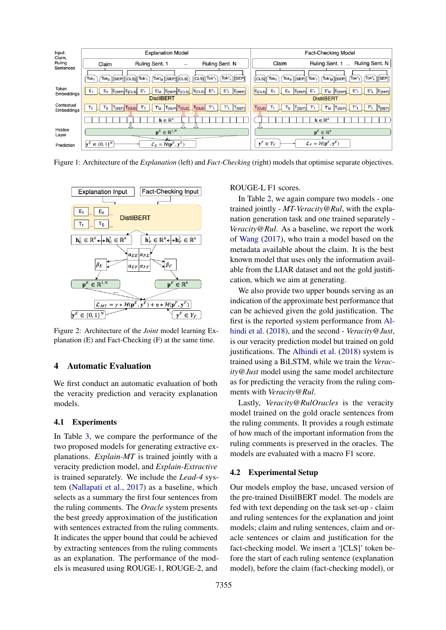<span id="page-3-0"></span>

Figure 1: Architecture of the *Explanation* (left) and *Fact-Checking* (right) models that optimise separate objectives.

<span id="page-3-1"></span>

Figure 2: Architecture of the *Joint* model learning Explanation (E) and Fact-Checking (F) at the same time.

# 4 Automatic Evaluation

We first conduct an automatic evaluation of both the veracity prediction and veracity explanation models.

## 4.1 Experiments

In Table [3,](#page-5-0) we compare the performance of the two proposed models for generating extractive explanations. *Explain-MT* is trained jointly with a veracity prediction model, and *Explain-Extractive* is trained separately. We include the *Lead-4* system [\(Nallapati et al.,](#page-10-9) [2017\)](#page-10-9) as a baseline, which selects as a summary the first four sentences from the ruling comments. The *Oracle* system presents the best greedy approximation of the justification with sentences extracted from the ruling comments. It indicates the upper bound that could be achieved by extracting sentences from the ruling comments as an explanation. The performance of the models is measured using ROUGE-1, ROUGE-2, and

ROUGE-L F1 scores.

In Table [2,](#page-4-0) we again compare two models - one trained jointly - *MT-Veracity@Rul*, with the explanation generation task and one trained separately - *Veracity@Rul*. As a baseline, we report the work of [Wang](#page-10-0) [\(2017\)](#page-10-0), who train a model based on the metadata available about the claim. It is the best known model that uses only the information available from the LIAR dataset and not the gold justification, which we aim at generating.

We also provide two upper bounds serving as an indication of the approximate best performance that can be achieved given the gold justification. The first is the reported system performance from [Al](#page-9-2)[hindi et al.](#page-9-2) [\(2018\)](#page-9-2), and the second - *Veracity@Just*, is our veracity prediction model but trained on gold justifications. The [Alhindi et al.](#page-9-2) [\(2018\)](#page-9-2) system is trained using a BiLSTM, while we train the *Veracity@Just* model using the same model architecture as for predicting the veracity from the ruling comments with *Veracity@Rul*.

Lastly, *Veracity@RulOracles* is the veracity model trained on the gold oracle sentences from the ruling comments. It provides a rough estimate of how much of the important information from the ruling comments is preserved in the oracles. The models are evaluated with a macro F1 score.

### 4.2 Experimental Setup

Our models employ the base, uncased version of the pre-trained DistilBERT model. The models are fed with text depending on the task set-up - claim and ruling sentences for the explanation and joint models; claim and ruling sentences, claim and oracle sentences or claim and justification for the fact-checking model. We insert a '[CLS]' token before the start of each ruling sentence (explanation model), before the claim (fact-checking model), or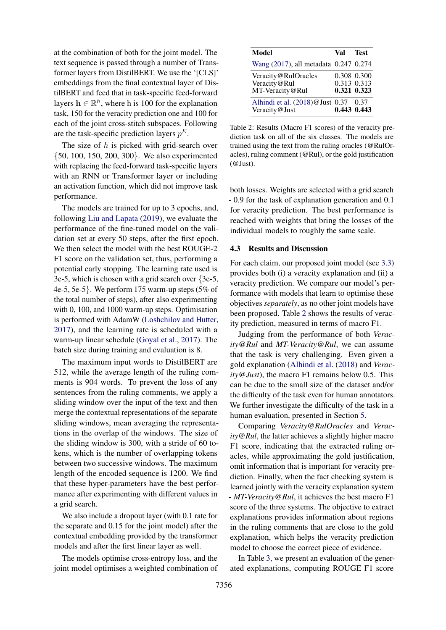at the combination of both for the joint model. The text sequence is passed through a number of Transformer layers from DistilBERT. We use the '[CLS]' embeddings from the final contextual layer of DistilBERT and feed that in task-specific feed-forward layers  $\mathbf{h} \in \mathbb{R}^h$ , where h is 100 for the explanation task, 150 for the veracity prediction one and 100 for each of the joint cross-stitch subspaces. Following are the task-specific prediction layers  $p^E$ .

The size of  $h$  is picked with grid-search over {50, 100, 150, 200, 300}. We also experimented with replacing the feed-forward task-specific layers with an RNN or Transformer layer or including an activation function, which did not improve task performance.

The models are trained for up to 3 epochs, and, following [Liu and Lapata](#page-9-6) [\(2019\)](#page-9-6), we evaluate the performance of the fine-tuned model on the validation set at every 50 steps, after the first epoch. We then select the model with the best ROUGE-2 F1 score on the validation set, thus, performing a potential early stopping. The learning rate used is 3e-5, which is chosen with a grid search over {3e-5, 4e-5, 5e-5}. We perform 175 warm-up steps (5% of the total number of steps), after also experimenting with 0, 100, and 1000 warm-up steps. Optimisation is performed with AdamW [\(Loshchilov and Hutter,](#page-9-8) [2017\)](#page-9-8), and the learning rate is scheduled with a warm-up linear schedule [\(Goyal et al.,](#page-9-9) [2017\)](#page-9-9). The batch size during training and evaluation is 8.

The maximum input words to DistilBERT are 512, while the average length of the ruling comments is 904 words. To prevent the loss of any sentences from the ruling comments, we apply a sliding window over the input of the text and then merge the contextual representations of the separate sliding windows, mean averaging the representations in the overlap of the windows. The size of the sliding window is 300, with a stride of 60 tokens, which is the number of overlapping tokens between two successive windows. The maximum length of the encoded sequence is 1200. We find that these hyper-parameters have the best performance after experimenting with different values in a grid search.

We also include a dropout layer (with 0.1 rate for the separate and 0.15 for the joint model) after the contextual embedding provided by the transformer models and after the first linear layer as well.

The models optimise cross-entropy loss, and the joint model optimises a weighted combination of

<span id="page-4-0"></span>

| Model                                                  | Val | Test                                      |
|--------------------------------------------------------|-----|-------------------------------------------|
| Wang (2017), all metadata 0.247 0.274                  |     |                                           |
| Veracity@RulOracles<br>Veracity@Rul<br>MT-Veracity@Rul |     | 0.308 0.300<br>0.313 0.313<br>0.321 0.323 |
| Alhindi et al. $(2018)$ @Just 0.37<br>Veracity@Just    |     | 0.37<br>0.443 0.443                       |

Table 2: Results (Macro F1 scores) of the veracity prediction task on all of the six classes. The models are trained using the text from the ruling oracles (@RulOracles), ruling comment (@Rul), or the gold justification (@Just).

both losses. Weights are selected with a grid search - 0.9 for the task of explanation generation and 0.1 for veracity prediction. The best performance is reached with weights that bring the losses of the individual models to roughly the same scale.

### <span id="page-4-1"></span>4.3 Results and Discussion

For each claim, our proposed joint model (see [3.3\)](#page-2-0) provides both (i) a veracity explanation and (ii) a veracity prediction. We compare our model's performance with models that learn to optimise these objectives *separately*, as no other joint models have been proposed. Table [2](#page-4-0) shows the results of veracity prediction, measured in terms of macro F1.

Judging from the performance of both *Veracity@Rul* and *MT-Veracity@Rul*, we can assume that the task is very challenging. Even given a gold explanation [\(Alhindi et al.](#page-9-2) [\(2018\)](#page-9-2) and *Veracity@Just*), the macro F1 remains below 0.5. This can be due to the small size of the dataset and/or the difficulty of the task even for human annotators. We further investigate the difficulty of the task in a human evaluation, presented in Section [5.](#page-5-1)

Comparing *Veracity@RulOracles* and *Veracity@Rul*, the latter achieves a slightly higher macro F1 score, indicating that the extracted ruling oracles, while approximating the gold justification, omit information that is important for veracity prediction. Finally, when the fact checking system is learned jointly with the veracity explanation system - *MT-Veracity@Rul*, it achieves the best macro F1 score of the three systems. The objective to extract explanations provides information about regions in the ruling comments that are close to the gold explanation, which helps the veracity prediction model to choose the correct piece of evidence.

In Table [3,](#page-5-0) we present an evaluation of the generated explanations, computing ROUGE F1 score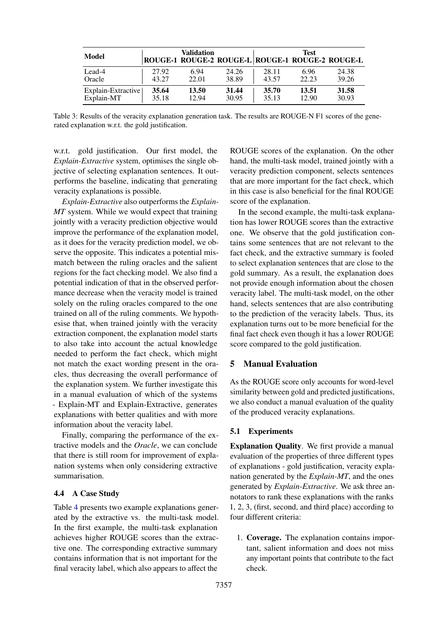<span id="page-5-0"></span>

| Model              |       | Validation | ROUGE-1 ROUGE-2 ROUGE-L ROUGE-1 ROUGE-2 ROUGE-L |       | <b>Test</b> |       |
|--------------------|-------|------------|-------------------------------------------------|-------|-------------|-------|
| Lead-4             | 27.92 | 6.94       | 24.26                                           | 28.11 | 6.96        | 24.38 |
| Oracle             | 43.27 | 22.01      | 38.89                                           | 43.57 | 22.23       | 39.26 |
| Explain-Extractive | 35.64 | 13.50      | 31.44                                           | 35.70 | 13.51       | 31.58 |
| Explain-MT         | 35.18 | 12.94      | 30.95                                           | 35.13 | 12.90       | 30.93 |

Table 3: Results of the veracity explanation generation task. The results are ROUGE-N F1 scores of the generated explanation w.r.t. the gold justification.

w.r.t. gold justification. Our first model, the *Explain-Extractive* system, optimises the single objective of selecting explanation sentences. It outperforms the baseline, indicating that generating veracity explanations is possible.

*Explain-Extractive* also outperforms the *Explain-MT* system. While we would expect that training jointly with a veracity prediction objective would improve the performance of the explanation model, as it does for the veracity prediction model, we observe the opposite. This indicates a potential mismatch between the ruling oracles and the salient regions for the fact checking model. We also find a potential indication of that in the observed performance decrease when the veracity model is trained solely on the ruling oracles compared to the one trained on all of the ruling comments. We hypothesise that, when trained jointly with the veracity extraction component, the explanation model starts to also take into account the actual knowledge needed to perform the fact check, which might not match the exact wording present in the oracles, thus decreasing the overall performance of the explanation system. We further investigate this in a manual evaluation of which of the systems - Explain-MT and Explain-Extractive, generates explanations with better qualities and with more information about the veracity label.

Finally, comparing the performance of the extractive models and the *Oracle*, we can conclude that there is still room for improvement of explanation systems when only considering extractive summarisation.

#### 4.4 A Case Study

Table [4](#page-6-0) presents two example explanations generated by the extractive vs. the multi-task model. In the first example, the multi-task explanation achieves higher ROUGE scores than the extractive one. The corresponding extractive summary contains information that is not important for the final veracity label, which also appears to affect the

ROUGE scores of the explanation. On the other hand, the multi-task model, trained jointly with a veracity prediction component, selects sentences that are more important for the fact check, which in this case is also beneficial for the final ROUGE score of the explanation.

In the second example, the multi-task explanation has lower ROUGE scores than the extractive one. We observe that the gold justification contains some sentences that are not relevant to the fact check, and the extractive summary is fooled to select explanation sentences that are close to the gold summary. As a result, the explanation does not provide enough information about the chosen veracity label. The multi-task model, on the other hand, selects sentences that are also contributing to the prediction of the veracity labels. Thus, its explanation turns out to be more beneficial for the final fact check even though it has a lower ROUGE score compared to the gold justification.

# <span id="page-5-1"></span>5 Manual Evaluation

As the ROUGE score only accounts for word-level similarity between gold and predicted justifications, we also conduct a manual evaluation of the quality of the produced veracity explanations.

#### 5.1 Experiments

Explanation Quality. We first provide a manual evaluation of the properties of three different types of explanations - gold justification, veracity explanation generated by the *Explain-MT*, and the ones generated by *Explain-Extractive*. We ask three annotators to rank these explanations with the ranks 1, 2, 3, (first, second, and third place) according to four different criteria:

1. Coverage. The explanation contains important, salient information and does not miss any important points that contribute to the fact check.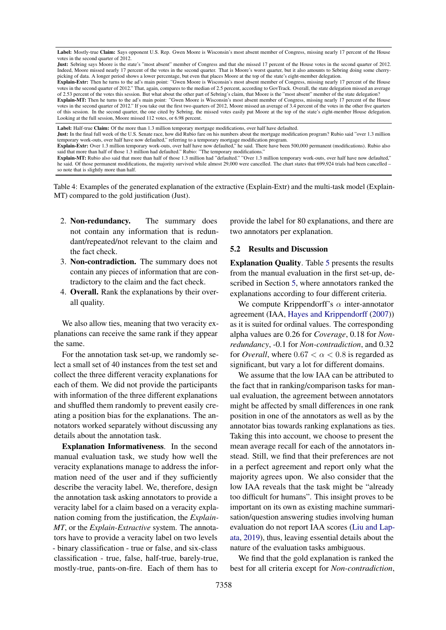<span id="page-6-0"></span>Label: Mostly-true Claim: Says opponent U.S. Rep. Gwen Moore is Wisconsin's most absent member of Congress, missing nearly 17 percent of the House votes in the second quarter of 2012.

Just: Sebring says Moore is the state's "most absent" member of Congress and that she missed 17 percent of the House votes in the second quarter of 2012. Indeed, Moore missed nearly 17 percent of the votes in the second quarter. That is Moore's worst quarter, but it also amounts to Sebring doing some cherrypicking of data. A longer period shows a lower percentage, but even that places Moore at the top of the state's eight-member delegation.

Explain-Extr: Then he turns to the ad's main point: "Gwen Moore is Wisconsin's most absent member of Congress, missing nearly 17 percent of the House votes in the second quarter of 2012." That, again, compares to the median of 2.5 percent, according to GovTrack. Overall, the state delegation missed an average of 2.53 percent of the votes this session. But what about the other part of Sebring's claim, that Moore is the "most absent" member of the state delegation?

Explain-MT: Then he turns to the ad's main point: "Gwen Moore is Wisconsin's most absent member of Congress, missing nearly 17 percent of the House votes in the second quarter of 2012." If you take out the first two quarters of 2012, Moore missed an average of 3.4 percent of the votes in the other five quarters of this session. In the second quarter, the one cited by Sebring, the missed votes easily put Moore at the top of the state's eight-member House delegation. Looking at the full session, Moore missed 112 votes, or 6.98 percent.

Label: Half-true Claim: Of the more than 1.3 million temporary mortgage modifications, over half have defaulted.

Just: In the final full week of the U.S. Senate race, how did Rubio fare on his numbers about the mortgage modification program? Rubio said "over 1.3 million

temporary work-outs, over half have now defaulted," referring to a temporary mortgage modification program Explain-Extr: Over 1.3 million temporary work-outs, over half have now defaulted," he said. There have been 500,000 permanent (modifications). Rubio also said that more than half of those 1.3 million had defaulted." Rubio: "The temporary modifications."

Explain-MT: Rubio also said that more than half of those 1.3 million had "defaulted." "Over 1.3 million temporary work-outs, over half have now defaulted," he said. Of those permanent modifications, the majority survived while almost 29,000 were cancelled. The chart states that 699,924 trials had been cancelled so note that is slightly more than half.

Table 4: Examples of the generated explanation of the extractive (Explain-Extr) and the multi-task model (Explain-MT) compared to the gold justification (Just).

- 2. Non-redundancy. The summary does not contain any information that is redundant/repeated/not relevant to the claim and the fact check.
- 3. Non-contradiction. The summary does not contain any pieces of information that are contradictory to the claim and the fact check.
- 4. Overall. Rank the explanations by their overall quality.

We also allow ties, meaning that two veracity explanations can receive the same rank if they appear the same.

For the annotation task set-up, we randomly select a small set of 40 instances from the test set and collect the three different veracity explanations for each of them. We did not provide the participants with information of the three different explanations and shuffled them randomly to prevent easily creating a position bias for the explanations. The annotators worked separately without discussing any details about the annotation task.

Explanation Informativeness. In the second manual evaluation task, we study how well the veracity explanations manage to address the information need of the user and if they sufficiently describe the veracity label. We, therefore, design the annotation task asking annotators to provide a veracity label for a claim based on a veracity explanation coming from the justification, the *Explain-MT*, or the *Explain-Extractive* system. The annotators have to provide a veracity label on two levels - binary classification - true or false, and six-class classification - true, false, half-true, barely-true, mostly-true, pants-on-fire. Each of them has to

provide the label for 80 explanations, and there are two annotators per explanation.

### 5.2 Results and Discussion

Explanation Quality. Table [5](#page-7-0) presents the results from the manual evaluation in the first set-up, described in Section [5,](#page-5-1) where annotators ranked the explanations according to four different criteria.

We compute Krippendorff's  $\alpha$  inter-annotator agreement (IAA, [Hayes and Krippendorff](#page-9-10) [\(2007\)](#page-9-10)) as it is suited for ordinal values. The corresponding alpha values are 0.26 for *Coverage*, 0.18 for *Nonredundancy*, -0.1 for *Non-contradiction*, and 0.32 for *Overall*, where  $0.67 < \alpha < 0.8$  is regarded as significant, but vary a lot for different domains.

We assume that the low IAA can be attributed to the fact that in ranking/comparison tasks for manual evaluation, the agreement between annotators might be affected by small differences in one rank position in one of the annotators as well as by the annotator bias towards ranking explanations as ties. Taking this into account, we choose to present the mean average recall for each of the annotators instead. Still, we find that their preferences are not in a perfect agreement and report only what the majority agrees upon. We also consider that the low IAA reveals that the task might be "already too difficult for humans". This insight proves to be important on its own as existing machine summarisation/question answering studies involving human evaluation do not report IAA scores [\(Liu and Lap](#page-9-6)[ata,](#page-9-6) [2019\)](#page-9-6), thus, leaving essential details about the nature of the evaluation tasks ambiguous.

We find that the gold explanation is ranked the best for all criteria except for *Non-contradiction*,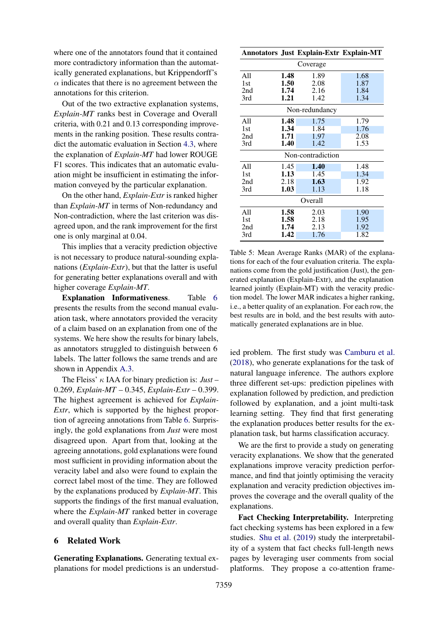where one of the annotators found that it contained more contradictory information than the automatically generated explanations, but Krippendorff's  $\alpha$  indicates that there is no agreement between the annotations for this criterion.

Out of the two extractive explanation systems, *Explain-MT* ranks best in Coverage and Overall criteria, with 0.21 and 0.13 corresponding improvements in the ranking position. These results contradict the automatic evaluation in Section [4.3,](#page-4-1) where the explanation of *Explain-MT* had lower ROUGE F1 scores. This indicates that an automatic evaluation might be insufficient in estimating the information conveyed by the particular explanation.

On the other hand, *Explain-Extr* is ranked higher than *Explain-MT* in terms of Non-redundancy and Non-contradiction, where the last criterion was disagreed upon, and the rank improvement for the first one is only marginal at 0.04.

This implies that a veracity prediction objective is not necessary to produce natural-sounding explanations (*Explain-Extr*), but that the latter is useful for generating better explanations overall and with higher coverage *Explain-MT*.

Explanation Informativeness. Table [6](#page-8-0) presents the results from the second manual evaluation task, where annotators provided the veracity of a claim based on an explanation from one of the systems. We here show the results for binary labels, as annotators struggled to distinguish between 6 labels. The latter follows the same trends and are shown in Appendix [A.3.](#page-11-2)

The Fleiss' κ IAA for binary prediction is: *Just* – 0.269, *Explain-MT* – 0.345, *Explain-Extr* – 0.399. The highest agreement is achieved for *Explain-Extr*, which is supported by the highest proportion of agreeing annotations from Table [6.](#page-8-0) Surprisingly, the gold explanations from *Just* were most disagreed upon. Apart from that, looking at the agreeing annotations, gold explanations were found most sufficient in providing information about the veracity label and also were found to explain the correct label most of the time. They are followed by the explanations produced by *Explain-MT*. This supports the findings of the first manual evaluation, where the *Explain-MT* ranked better in coverage and overall quality than *Explain-Extr*.

## 6 Related Work

Generating Explanations. Generating textual explanations for model predictions is an understud-

<span id="page-7-0"></span>

|                   |      | <b>Annotators Just Explain-Extr Explain-MT</b> |      |  |  |  |
|-------------------|------|------------------------------------------------|------|--|--|--|
| Coverage          |      |                                                |      |  |  |  |
| All               | 1.48 | 1.89                                           | 1.68 |  |  |  |
| 1st               | 1.50 | 2.08                                           | 1.87 |  |  |  |
| 2nd               | 1.74 | 2.16                                           | 1.84 |  |  |  |
| 3rd               | 1.21 | 1.42                                           | 1.34 |  |  |  |
| Non-redundancy    |      |                                                |      |  |  |  |
| A11               | 1.48 | 1.75                                           | 1.79 |  |  |  |
| 1st               | 1.34 | 1.84                                           | 1.76 |  |  |  |
| 2nd               | 1.71 | 1.97                                           | 2.08 |  |  |  |
| 3rd               | 1.40 | 1.42                                           | 1.53 |  |  |  |
| Non-contradiction |      |                                                |      |  |  |  |
| All               | 1.45 | 1.40                                           | 1.48 |  |  |  |
| 1st               | 1.13 | 1.45                                           | 1.34 |  |  |  |
| 2nd               | 2.18 | 1.63                                           | 1.92 |  |  |  |
| 3rd               | 1.03 | 1.13                                           | 1.18 |  |  |  |
| Overall           |      |                                                |      |  |  |  |
| All               | 1.58 | 2.03                                           | 1.90 |  |  |  |
| 1st               | 1.58 | 2.18                                           | 1.95 |  |  |  |
| 2nd               | 1.74 | 2.13                                           | 1.92 |  |  |  |
| 3rd               | 1.42 | 1.76                                           | 1.82 |  |  |  |

Table 5: Mean Average Ranks (MAR) of the explanations for each of the four evaluation criteria. The explanations come from the gold justification (Just), the generated explanation (Explain-Extr), and the explanation learned jointly (Explain-MT) with the veracity prediction model. The lower MAR indicates a higher ranking, i.e., a better quality of an explanation. For each row, the best results are in bold, and the best results with automatically generated explanations are in blue.

ied problem. The first study was [Camburu et al.](#page-9-11) [\(2018\)](#page-9-11), who generate explanations for the task of natural language inference. The authors explore three different set-ups: prediction pipelines with explanation followed by prediction, and prediction followed by explanation, and a joint multi-task learning setting. They find that first generating the explanation produces better results for the explanation task, but harms classification accuracy.

We are the first to provide a study on generating veracity explanations. We show that the generated explanations improve veracity prediction performance, and find that jointly optimising the veracity explanation and veracity prediction objectives improves the coverage and the overall quality of the explanations.

Fact Checking Interpretability. Interpreting fact checking systems has been explored in a few studies. [Shu et al.](#page-10-10) [\(2019\)](#page-10-10) study the interpretability of a system that fact checks full-length news pages by leveraging user comments from social platforms. They propose a co-attention frame-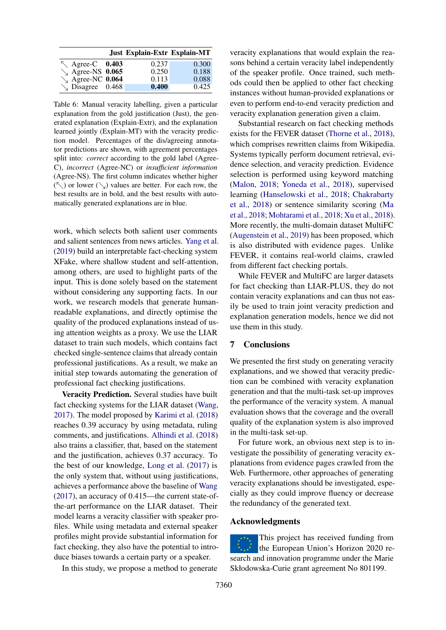<span id="page-8-0"></span>

|                            | <b>Just Explain-Extr Explain-MT</b> |       |
|----------------------------|-------------------------------------|-------|
| $\sim$ Agree-C 0.403       | 0.237                               | 0.300 |
| $\searrow$ Agree-NS 0.065  | 0.250                               | 0.188 |
| $\sqrt{\ }$ Agree-NC 0.064 | 0.113                               | 0.088 |
| $\searrow$ Disagree 0.468  | 0.400                               | 0.425 |

Table 6: Manual veracity labelling, given a particular explanation from the gold justification (Just), the generated explanation (Explain-Extr), and the explanation learned jointly (Explain-MT) with the veracity prediction model. Percentages of the dis/agreeing annotator predictions are shown, with agreement percentages split into: *correct* according to the gold label (Agree-C), *incorrect* (Agree-NC) or *insufficient information* (Agree-NS). The first column indicates whether higher  $(\nwarrow)$  or lower  $(\searrow)$  values are better. For each row, the best results are in bold, and the best results with automatically generated explanations are in blue.

work, which selects both salient user comments and salient sentences from news articles. [Yang et al.](#page-10-11) [\(2019\)](#page-10-11) build an interpretable fact-checking system XFake, where shallow student and self-attention, among others, are used to highlight parts of the input. This is done solely based on the statement without considering any supporting facts. In our work, we research models that generate humanreadable explanations, and directly optimise the quality of the produced explanations instead of using attention weights as a proxy. We use the LIAR dataset to train such models, which contains fact checked single-sentence claims that already contain professional justifications. As a result, we make an initial step towards automating the generation of professional fact checking justifications.

Veracity Prediction. Several studies have built fact checking systems for the LIAR dataset [\(Wang,](#page-10-0) [2017\)](#page-10-0). The model proposed by [Karimi et al.](#page-9-12) [\(2018\)](#page-9-12) reaches 0.39 accuracy by using metadata, ruling comments, and justifications. [Alhindi et al.](#page-9-2) [\(2018\)](#page-9-2) also trains a classifier, that, based on the statement and the justification, achieves 0.37 accuracy. To the best of our knowledge, [Long et al.](#page-9-13) [\(2017\)](#page-9-13) is the only system that, without using justifications, achieves a performance above the baseline of [Wang](#page-10-0) [\(2017\)](#page-10-0), an accuracy of 0.415—the current state-ofthe-art performance on the LIAR dataset. Their model learns a veracity classifier with speaker profiles. While using metadata and external speaker profiles might provide substantial information for fact checking, they also have the potential to introduce biases towards a certain party or a speaker.

In this study, we propose a method to generate

veracity explanations that would explain the reasons behind a certain veracity label independently of the speaker profile. Once trained, such methods could then be applied to other fact checking instances without human-provided explanations or even to perform end-to-end veracity prediction and veracity explanation generation given a claim.

Substantial research on fact checking methods exists for the FEVER dataset [\(Thorne et al.,](#page-10-1) [2018\)](#page-10-1), which comprises rewritten claims from Wikipedia. Systems typically perform document retrieval, evidence selection, and veracity prediction. Evidence selection is performed using keyword matching [\(Malon,](#page-9-14) [2018;](#page-9-14) [Yoneda et al.,](#page-10-12) [2018\)](#page-10-12), supervised learning [\(Hanselowski et al.,](#page-9-15) [2018;](#page-9-15) [Chakrabarty](#page-9-16) [et al.,](#page-9-16) [2018\)](#page-9-16) or sentence similarity scoring [\(Ma](#page-9-1) [et al.,](#page-9-1) [2018;](#page-9-1) [Mohtarami et al.,](#page-10-3) [2018;](#page-10-3) [Xu et al.,](#page-10-4) [2018\)](#page-10-4). More recently, the multi-domain dataset MultiFC [\(Augenstein et al.,](#page-9-0) [2019\)](#page-9-0) has been proposed, which is also distributed with evidence pages. Unlike FEVER, it contains real-world claims, crawled from different fact checking portals.

While FEVER and MultiFC are larger datasets for fact checking than LIAR-PLUS, they do not contain veracity explanations and can thus not easily be used to train joint veracity prediction and explanation generation models, hence we did not use them in this study.

### 7 Conclusions

We presented the first study on generating veracity explanations, and we showed that veracity prediction can be combined with veracity explanation generation and that the multi-task set-up improves the performance of the veracity system. A manual evaluation shows that the coverage and the overall quality of the explanation system is also improved in the multi-task set-up.

For future work, an obvious next step is to investigate the possibility of generating veracity explanations from evidence pages crawled from the Web. Furthermore, other approaches of generating veracity explanations should be investigated, especially as they could improve fluency or decrease the redundancy of the generated text.

### Acknowledgments

This project has received funding from the European Union's Horizon 2020 research and innovation programme under the Marie Skłodowska-Curie grant agreement No 801199.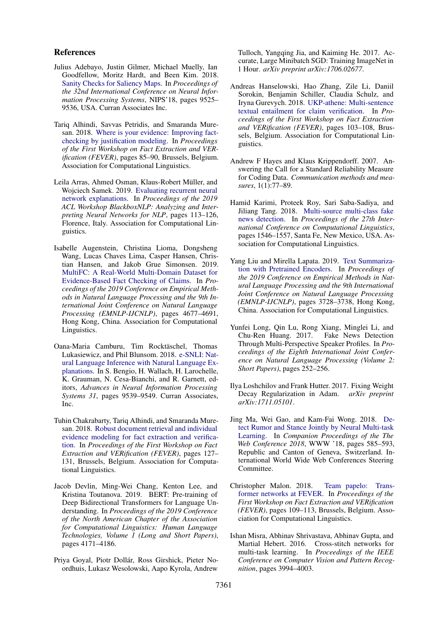### References

- <span id="page-9-3"></span>Julius Adebayo, Justin Gilmer, Michael Muelly, Ian Goodfellow, Moritz Hardt, and Been Kim. 2018. [Sanity Checks for Saliency Maps.](http://dl.acm.org/citation.cfm?id=3327546.3327621) In *Proceedings of the 32nd International Conference on Neural Information Processing Systems*, NIPS'18, pages 9525– 9536, USA. Curran Associates Inc.
- <span id="page-9-2"></span>Tariq Alhindi, Savvas Petridis, and Smaranda Muresan. 2018. [Where is your evidence: Improving fact](https://doi.org/10.18653/v1/W18-5513)[checking by justification modeling.](https://doi.org/10.18653/v1/W18-5513) In *Proceedings of the First Workshop on Fact Extraction and VERification (FEVER)*, pages 85–90, Brussels, Belgium. Association for Computational Linguistics.
- <span id="page-9-4"></span>Leila Arras, Ahmed Osman, Klaus-Robert Müller, and Wojciech Samek. 2019. [Evaluating recurrent neural](https://doi.org/10.18653/v1/W19-4813) [network explanations.](https://doi.org/10.18653/v1/W19-4813) In *Proceedings of the 2019 ACL Workshop BlackboxNLP: Analyzing and Interpreting Neural Networks for NLP*, pages 113–126, Florence, Italy. Association for Computational Linguistics.
- <span id="page-9-0"></span>Isabelle Augenstein, Christina Lioma, Dongsheng Wang, Lucas Chaves Lima, Casper Hansen, Christian Hansen, and Jakob Grue Simonsen. 2019. [MultiFC: A Real-World Multi-Domain Dataset for](https://doi.org/10.18653/v1/D19-1475) [Evidence-Based Fact Checking of Claims.](https://doi.org/10.18653/v1/D19-1475) In *Proceedings of the 2019 Conference on Empirical Methods in Natural Language Processing and the 9th International Joint Conference on Natural Language Processing (EMNLP-IJCNLP)*, pages 4677–4691, Hong Kong, China. Association for Computational Linguistics.
- <span id="page-9-11"></span>Oana-Maria Camburu, Tim Rocktäschel, Thomas Lukasiewicz, and Phil Blunsom. 2018. [e-SNLI: Nat](http://papers.nips.cc/paper/8163-e-snli-natural-language-inference-with-natural-language-explanations.pdf)[ural Language Inference with Natural Language Ex](http://papers.nips.cc/paper/8163-e-snli-natural-language-inference-with-natural-language-explanations.pdf)[planations.](http://papers.nips.cc/paper/8163-e-snli-natural-language-inference-with-natural-language-explanations.pdf) In S. Bengio, H. Wallach, H. Larochelle, K. Grauman, N. Cesa-Bianchi, and R. Garnett, editors, *Advances in Neural Information Processing Systems 31*, pages 9539–9549. Curran Associates, Inc.
- <span id="page-9-16"></span>Tuhin Chakrabarty, Tariq Alhindi, and Smaranda Muresan. 2018. [Robust document retrieval and individual](https://doi.org/10.18653/v1/W18-5521) [evidence modeling for fact extraction and verifica](https://doi.org/10.18653/v1/W18-5521)[tion.](https://doi.org/10.18653/v1/W18-5521) In *Proceedings of the First Workshop on Fact Extraction and VERification (FEVER)*, pages 127– 131, Brussels, Belgium. Association for Computational Linguistics.
- <span id="page-9-5"></span>Jacob Devlin, Ming-Wei Chang, Kenton Lee, and Kristina Toutanova. 2019. BERT: Pre-training of Deep Bidirectional Transformers for Language Understanding. In *Proceedings of the 2019 Conference of the North American Chapter of the Association for Computational Linguistics: Human Language Technologies, Volume 1 (Long and Short Papers)*, pages 4171–4186.
- <span id="page-9-9"></span>Priya Goyal, Piotr Dollár, Ross Girshick, Pieter Noordhuis, Lukasz Wesolowski, Aapo Kyrola, Andrew

Tulloch, Yangqing Jia, and Kaiming He. 2017. Accurate, Large Minibatch SGD: Training ImageNet in 1 Hour. *arXiv preprint arXiv:1706.02677*.

- <span id="page-9-15"></span>Andreas Hanselowski, Hao Zhang, Zile Li, Daniil Sorokin, Benjamin Schiller, Claudia Schulz, and Iryna Gurevych. 2018. [UKP-athene: Multi-sentence](https://doi.org/10.18653/v1/W18-5516) [textual entailment for claim verification.](https://doi.org/10.18653/v1/W18-5516) In *Proceedings of the First Workshop on Fact Extraction and VERification (FEVER)*, pages 103–108, Brussels, Belgium. Association for Computational Linguistics.
- <span id="page-9-10"></span>Andrew F Hayes and Klaus Krippendorff. 2007. Answering the Call for a Standard Reliability Measure for Coding Data. *Communication methods and measures*, 1(1):77–89.
- <span id="page-9-12"></span>Hamid Karimi, Proteek Roy, Sari Saba-Sadiya, and Jiliang Tang. 2018. [Multi-source multi-class fake](https://www.aclweb.org/anthology/C18-1131) [news detection.](https://www.aclweb.org/anthology/C18-1131) In *Proceedings of the 27th International Conference on Computational Linguistics*, pages 1546–1557, Santa Fe, New Mexico, USA. Association for Computational Linguistics.
- <span id="page-9-6"></span>Yang Liu and Mirella Lapata. 2019. [Text Summariza](https://doi.org/10.18653/v1/D19-1387)[tion with Pretrained Encoders.](https://doi.org/10.18653/v1/D19-1387) In *Proceedings of the 2019 Conference on Empirical Methods in Natural Language Processing and the 9th International Joint Conference on Natural Language Processing (EMNLP-IJCNLP)*, pages 3728–3738, Hong Kong, China. Association for Computational Linguistics.
- <span id="page-9-13"></span>Yunfei Long, Qin Lu, Rong Xiang, Minglei Li, and Chu-Ren Huang. 2017. Fake News Detection Through Multi-Perspective Speaker Profiles. In *Proceedings of the Eighth International Joint Conference on Natural Language Processing (Volume 2: Short Papers)*, pages 252–256.
- <span id="page-9-8"></span>Ilya Loshchilov and Frank Hutter. 2017. Fixing Weight Decay Regularization in Adam. *arXiv preprint arXiv:1711.05101*.
- <span id="page-9-1"></span>Jing Ma, Wei Gao, and Kam-Fai Wong. 2018. [De](https://doi.org/10.1145/3184558.3188729)[tect Rumor and Stance Jointly by Neural Multi-task](https://doi.org/10.1145/3184558.3188729) [Learning.](https://doi.org/10.1145/3184558.3188729) In *Companion Proceedings of the The Web Conference 2018*, WWW '18, pages 585–593, Republic and Canton of Geneva, Switzerland. International World Wide Web Conferences Steering Committee.
- <span id="page-9-14"></span>Christopher Malon. 2018. [Team papelo: Trans](https://doi.org/10.18653/v1/W18-5517)[former networks at FEVER.](https://doi.org/10.18653/v1/W18-5517) In *Proceedings of the First Workshop on Fact Extraction and VERification (FEVER)*, pages 109–113, Brussels, Belgium. Association for Computational Linguistics.
- <span id="page-9-7"></span>Ishan Misra, Abhinav Shrivastava, Abhinav Gupta, and Martial Hebert. 2016. Cross-stitch networks for multi-task learning. In *Proceedings of the IEEE Conference on Computer Vision and Pattern Recognition*, pages 3994–4003.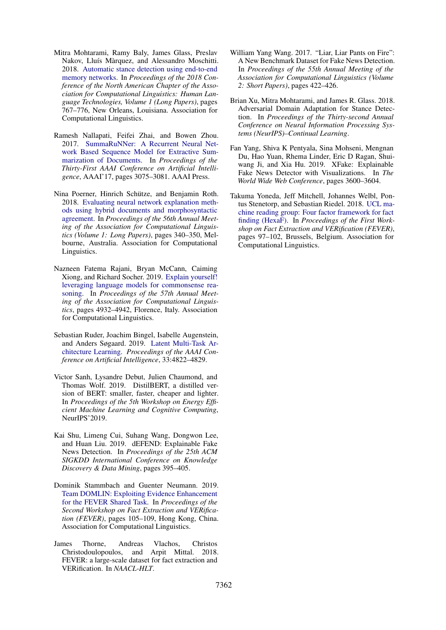- <span id="page-10-3"></span>Mitra Mohtarami, Ramy Baly, James Glass, Preslav Nakov, Lluís Màrquez, and Alessandro Moschitti. 2018. [Automatic stance detection using end-to-end](https://doi.org/10.18653/v1/N18-1070) [memory networks.](https://doi.org/10.18653/v1/N18-1070) In *Proceedings of the 2018 Conference of the North American Chapter of the Association for Computational Linguistics: Human Language Technologies, Volume 1 (Long Papers)*, pages 767–776, New Orleans, Louisiana. Association for Computational Linguistics.
- <span id="page-10-9"></span>Ramesh Nallapati, Feifei Zhai, and Bowen Zhou. 2017. [SummaRuNNer: A Recurrent Neural Net](http://dl.acm.org/citation.cfm?id=3298483.3298681)[work Based Sequence Model for Extractive Sum](http://dl.acm.org/citation.cfm?id=3298483.3298681)[marization of Documents.](http://dl.acm.org/citation.cfm?id=3298483.3298681) In *Proceedings of the Thirty-First AAAI Conference on Artificial Intelligence*, AAAI'17, pages 3075–3081. AAAI Press.
- <span id="page-10-5"></span>Nina Poerner, Hinrich Schütze, and Benjamin Roth. 2018. [Evaluating neural network explanation meth](https://doi.org/10.18653/v1/P18-1032)[ods using hybrid documents and morphosyntactic](https://doi.org/10.18653/v1/P18-1032) [agreement.](https://doi.org/10.18653/v1/P18-1032) In *Proceedings of the 56th Annual Meeting of the Association for Computational Linguistics (Volume 1: Long Papers)*, pages 340–350, Melbourne, Australia. Association for Computational Linguistics.
- <span id="page-10-6"></span>Nazneen Fatema Rajani, Bryan McCann, Caiming Xiong, and Richard Socher. 2019. [Explain yourself!](https://doi.org/10.18653/v1/P19-1487) [leveraging language models for commonsense rea](https://doi.org/10.18653/v1/P19-1487)[soning.](https://doi.org/10.18653/v1/P19-1487) In *Proceedings of the 57th Annual Meeting of the Association for Computational Linguistics*, pages 4932–4942, Florence, Italy. Association for Computational Linguistics.
- <span id="page-10-8"></span>Sebastian Ruder, Joachim Bingel, Isabelle Augenstein, and Anders Søgaard. 2019. [Latent Multi-Task Ar](https://doi.org/10.1609/aaai.v33i01.33014822)[chitecture Learning.](https://doi.org/10.1609/aaai.v33i01.33014822) *Proceedings of the AAAI Conference on Artificial Intelligence*, 33:4822–4829.
- <span id="page-10-7"></span>Victor Sanh, Lysandre Debut, Julien Chaumond, and Thomas Wolf. 2019. DistilBERT, a distilled version of BERT: smaller, faster, cheaper and lighter. In *Proceedings of the 5th Workshop on Energy Efficient Machine Learning and Cognitive Computing*, NeurIPS'2019.
- <span id="page-10-10"></span>Kai Shu, Limeng Cui, Suhang Wang, Dongwon Lee, and Huan Liu. 2019. dEFEND: Explainable Fake News Detection. In *Proceedings of the 25th ACM SIGKDD International Conference on Knowledge Discovery & Data Mining*, pages 395–405.
- <span id="page-10-2"></span>Dominik Stammbach and Guenter Neumann. 2019. [Team DOMLIN: Exploiting Evidence Enhancement](https://doi.org/10.18653/v1/D19-6616) [for the FEVER Shared Task.](https://doi.org/10.18653/v1/D19-6616) In *Proceedings of the Second Workshop on Fact Extraction and VERification (FEVER)*, pages 105–109, Hong Kong, China. Association for Computational Linguistics.
- <span id="page-10-1"></span>James Thorne, Andreas Vlachos, Christos Christodoulopoulos, and Arpit Mittal. 2018. FEVER: a large-scale dataset for fact extraction and VERification. In *NAACL-HLT*.
- <span id="page-10-0"></span>William Yang Wang. 2017. "Liar, Liar Pants on Fire": A New Benchmark Dataset for Fake News Detection. In *Proceedings of the 55th Annual Meeting of the Association for Computational Linguistics (Volume 2: Short Papers)*, pages 422–426.
- <span id="page-10-4"></span>Brian Xu, Mitra Mohtarami, and James R. Glass. 2018. Adversarial Domain Adaptation for Stance Detection. In *Proceedings of the Thirty-second Annual Conference on Neural Information Processing Systems (NeurIPS)–Continual Learning*.
- <span id="page-10-11"></span>Fan Yang, Shiva K Pentyala, Sina Mohseni, Mengnan Du, Hao Yuan, Rhema Linder, Eric D Ragan, Shuiwang Ji, and Xia Hu. 2019. XFake: Explainable Fake News Detector with Visualizations. In *The World Wide Web Conference*, pages 3600–3604.
- <span id="page-10-12"></span>Takuma Yoneda, Jeff Mitchell, Johannes Welbl, Pontus Stenetorp, and Sebastian Riedel. 2018. [UCL ma](https://doi.org/10.18653/v1/W18-5515)[chine reading group: Four factor framework for fact](https://doi.org/10.18653/v1/W18-5515) [finding \(HexaF\).](https://doi.org/10.18653/v1/W18-5515) In *Proceedings of the First Workshop on Fact Extraction and VERification (FEVER)*, pages 97–102, Brussels, Belgium. Association for Computational Linguistics.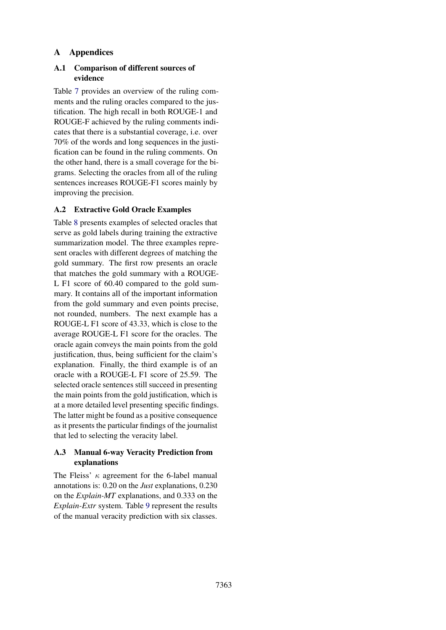# A Appendices

# <span id="page-11-0"></span>A.1 Comparison of different sources of evidence

Table [7](#page-12-0) provides an overview of the ruling comments and the ruling oracles compared to the justification. The high recall in both ROUGE-1 and ROUGE-F achieved by the ruling comments indicates that there is a substantial coverage, i.e. over 70% of the words and long sequences in the justification can be found in the ruling comments. On the other hand, there is a small coverage for the bigrams. Selecting the oracles from all of the ruling sentences increases ROUGE-F1 scores mainly by improving the precision.

# <span id="page-11-1"></span>A.2 Extractive Gold Oracle Examples

Table [8](#page-12-1) presents examples of selected oracles that serve as gold labels during training the extractive summarization model. The three examples represent oracles with different degrees of matching the gold summary. The first row presents an oracle that matches the gold summary with a ROUGE-L F1 score of 60.40 compared to the gold summary. It contains all of the important information from the gold summary and even points precise, not rounded, numbers. The next example has a ROUGE-L F1 score of 43.33, which is close to the average ROUGE-L F1 score for the oracles. The oracle again conveys the main points from the gold justification, thus, being sufficient for the claim's explanation. Finally, the third example is of an oracle with a ROUGE-L F1 score of 25.59. The selected oracle sentences still succeed in presenting the main points from the gold justification, which is at a more detailed level presenting specific findings. The latter might be found as a positive consequence as it presents the particular findings of the journalist that led to selecting the veracity label.

# <span id="page-11-2"></span>A.3 Manual 6-way Veracity Prediction from explanations

The Fleiss'  $\kappa$  agreement for the 6-label manual annotations is: 0.20 on the *Just* explanations, 0.230 on the *Explain-MT* explanations, and 0.333 on the *Explain-Extr* system. Table [9](#page-12-2) represent the results of the manual veracity prediction with six classes.